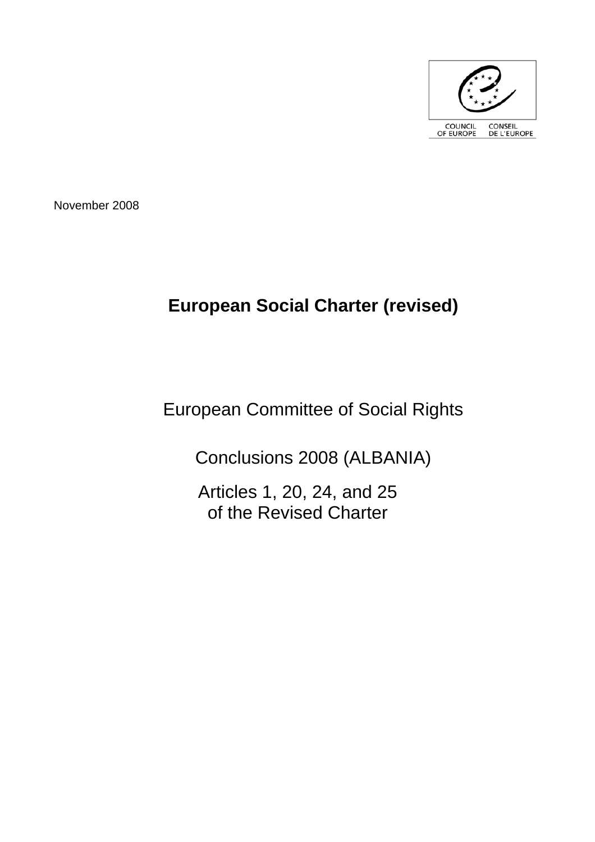

November 2008

# **European Social Charter (revised)**

## European Committee of Social Rights

Conclusions 2008 (ALBANIA)

Articles 1, 20, 24, and 25 of the Revised Charter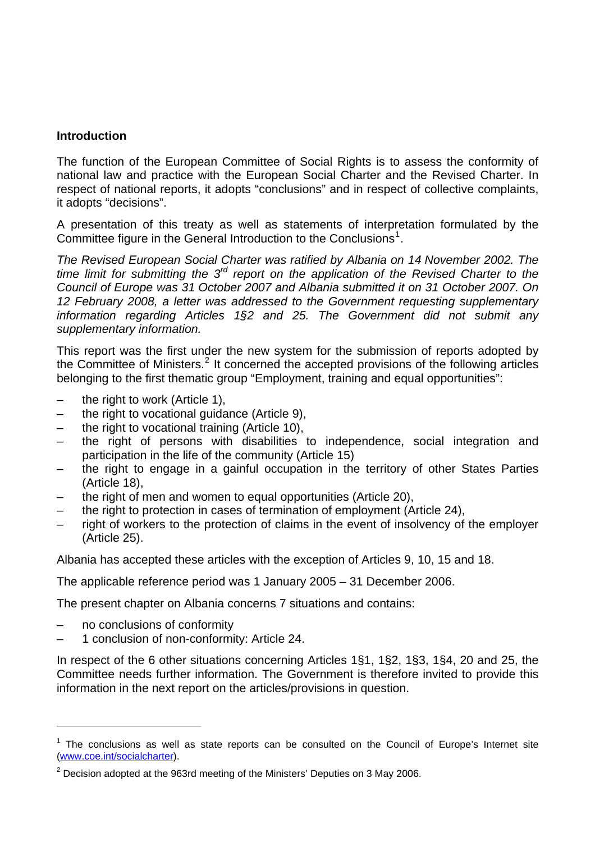## **Introduction**

The function of the European Committee of Social Rights is to assess the conformity of national law and practice with the European Social Charter and the Revised Charter. In respect of national reports, it adopts "conclusions" and in respect of collective complaints, it adopts "decisions".

A presentation of this treaty as well as statements of interpretation formulated by the Committee figure in the General Introduction to the Conclusions<sup>[1](#page-2-0)</sup>.

*The Revised European Social Charter was ratified by Albania on 14 November 2002. The time limit for submitting the 3rd report on the application of the Revised Charter to the Council of Europe was 31 October 2007 and Albania submitted it on 31 October 2007. On 12 February 2008, a letter was addressed to the Government requesting supplementary information regarding Articles 1§2 and 25. The Government did not submit any supplementary information.* 

This report was the first under the new system for the submission of reports adopted by the Committee of Ministers.<sup>[2](#page-2-1)</sup> It concerned the accepted provisions of the following articles belonging to the first thematic group "Employment, training and equal opportunities":

- the right to work (Article 1),
- the right to vocational guidance (Article 9),
- the right to vocational training (Article 10),
- the right of persons with disabilities to independence, social integration and participation in the life of the community (Article 15)
- the right to engage in a gainful occupation in the territory of other States Parties (Article 18),
- the right of men and women to equal opportunities (Article 20),
- the right to protection in cases of termination of employment (Article 24),
- right of workers to the protection of claims in the event of insolvency of the employer (Article 25).

Albania has accepted these articles with the exception of Articles 9, 10, 15 and 18.

The applicable reference period was 1 January 2005 – 31 December 2006.

The present chapter on Albania concerns 7 situations and contains:

– no conclusions of conformity

l

– 1 conclusion of non-conformity: Article 24.

In respect of the 6 other situations concerning Articles 1§1, 1§2, 1§3, 1§4, 20 and 25, the Committee needs further information. The Government is therefore invited to provide this information in the next report on the articles/provisions in question.

<span id="page-2-0"></span> $1$  The conclusions as well as state reports can be consulted on the Council of Europe's Internet site [\(www.coe.int/socialcharter](http://www.coe.int/socialcharter)).

<span id="page-2-1"></span> $2$  Decision adopted at the 963rd meeting of the Ministers' Deputies on 3 May 2006.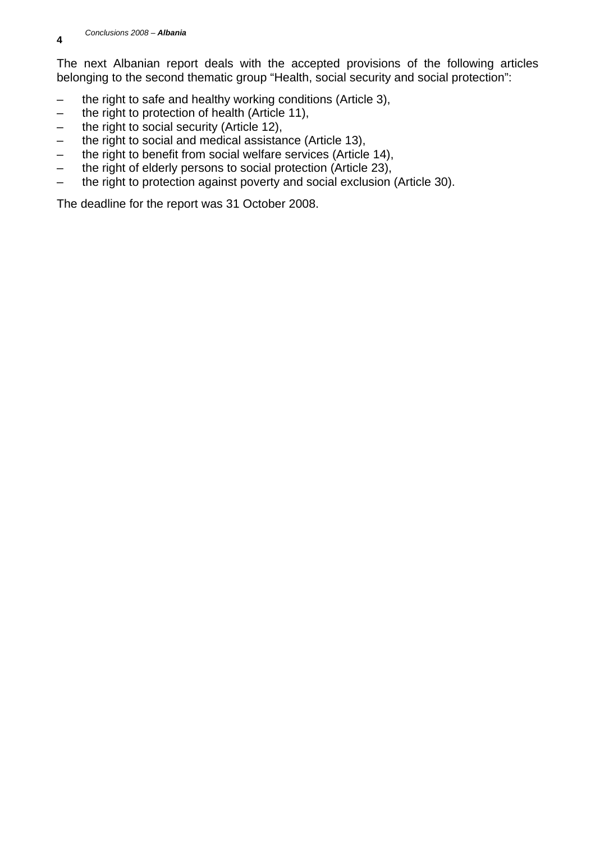The next Albanian report deals with the accepted provisions of the following articles belonging to the second thematic group "Health, social security and social protection":

- the right to safe and healthy working conditions (Article 3),
- the right to protection of health (Article 11),
- the right to social security (Article 12),
- the right to social and medical assistance (Article 13),
- the right to benefit from social welfare services (Article 14),
- the right of elderly persons to social protection (Article 23),
- the right to protection against poverty and social exclusion (Article 30).

The deadline for the report was 31 October 2008.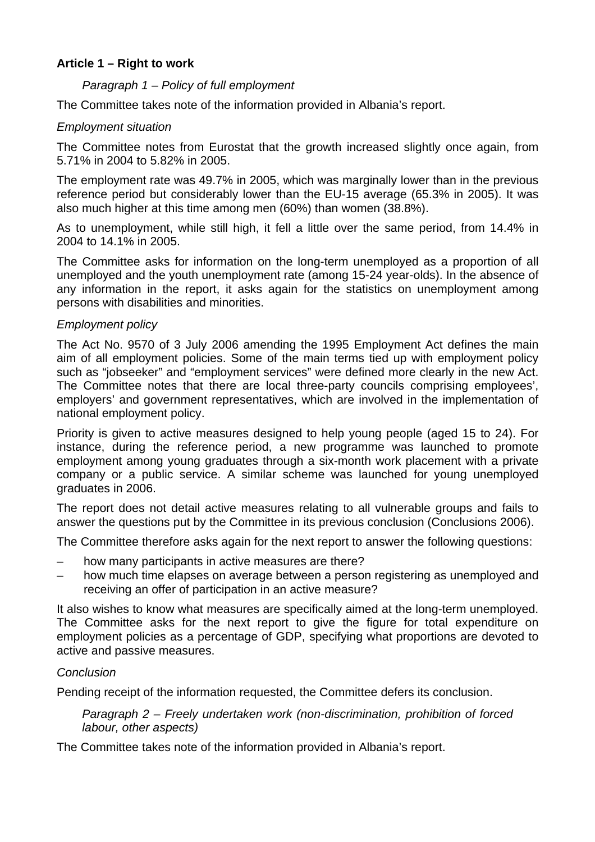## **Article 1 – Right to work**

## *Paragraph 1 – Policy of full employment*

The Committee takes note of the information provided in Albania's report.

## *Employment situation*

The Committee notes from Eurostat that the growth increased slightly once again, from 5.71% in 2004 to 5.82% in 2005.

The employment rate was 49.7% in 2005, which was marginally lower than in the previous reference period but considerably lower than the EU-15 average (65.3% in 2005). It was also much higher at this time among men (60%) than women (38.8%).

As to unemployment, while still high, it fell a little over the same period, from 14.4% in 2004 to 14.1% in 2005.

The Committee asks for information on the long-term unemployed as a proportion of all unemployed and the youth unemployment rate (among 15-24 year-olds). In the absence of any information in the report, it asks again for the statistics on unemployment among persons with disabilities and minorities.

## *Employment policy*

The Act No. 9570 of 3 July 2006 amending the 1995 Employment Act defines the main aim of all employment policies. Some of the main terms tied up with employment policy such as "jobseeker" and "employment services" were defined more clearly in the new Act. The Committee notes that there are local three-party councils comprising employees', employers' and government representatives, which are involved in the implementation of national employment policy.

Priority is given to active measures designed to help young people (aged 15 to 24). For instance, during the reference period, a new programme was launched to promote employment among young graduates through a six-month work placement with a private company or a public service. A similar scheme was launched for young unemployed graduates in 2006.

The report does not detail active measures relating to all vulnerable groups and fails to answer the questions put by the Committee in its previous conclusion (Conclusions 2006).

The Committee therefore asks again for the next report to answer the following questions:

- how many participants in active measures are there?
- how much time elapses on average between a person registering as unemployed and receiving an offer of participation in an active measure?

It also wishes to know what measures are specifically aimed at the long-term unemployed. The Committee asks for the next report to give the figure for total expenditure on employment policies as a percentage of GDP, specifying what proportions are devoted to active and passive measures.

## *Conclusion*

Pending receipt of the information requested, the Committee defers its conclusion.

*Paragraph 2 – Freely undertaken work (non-discrimination, prohibition of forced labour, other aspects)* 

The Committee takes note of the information provided in Albania's report.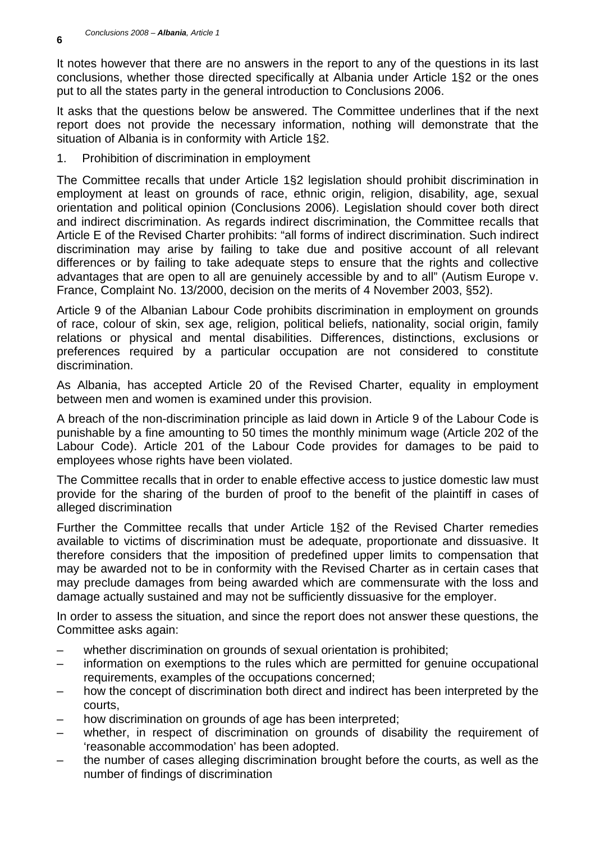It notes however that there are no answers in the report to any of the questions in its last conclusions, whether those directed specifically at Albania under Article 1§2 or the ones put to all the states party in the general introduction to Conclusions 2006.

It asks that the questions below be answered. The Committee underlines that if the next report does not provide the necessary information, nothing will demonstrate that the situation of Albania is in conformity with Article 1§2.

1. Prohibition of discrimination in employment

The Committee recalls that under Article 1§2 legislation should prohibit discrimination in employment at least on grounds of race, ethnic origin, religion, disability, age, sexual orientation and political opinion (Conclusions 2006). Legislation should cover both direct and indirect discrimination. As regards indirect discrimination, the Committee recalls that Article E of the Revised Charter prohibits: "all forms of indirect discrimination. Such indirect discrimination may arise by failing to take due and positive account of all relevant differences or by failing to take adequate steps to ensure that the rights and collective advantages that are open to all are genuinely accessible by and to all" (Autism Europe v. France, Complaint No. 13/2000, decision on the merits of 4 November 2003, §52).

Article 9 of the Albanian Labour Code prohibits discrimination in employment on grounds of race, colour of skin, sex age, religion, political beliefs, nationality, social origin, family relations or physical and mental disabilities. Differences, distinctions, exclusions or preferences required by a particular occupation are not considered to constitute discrimination.

As Albania, has accepted Article 20 of the Revised Charter, equality in employment between men and women is examined under this provision.

A breach of the non-discrimination principle as laid down in Article 9 of the Labour Code is punishable by a fine amounting to 50 times the monthly minimum wage (Article 202 of the Labour Code). Article 201 of the Labour Code provides for damages to be paid to employees whose rights have been violated.

The Committee recalls that in order to enable effective access to justice domestic law must provide for the sharing of the burden of proof to the benefit of the plaintiff in cases of alleged discrimination

Further the Committee recalls that under Article 1§2 of the Revised Charter remedies available to victims of discrimination must be adequate, proportionate and dissuasive. It therefore considers that the imposition of predefined upper limits to compensation that may be awarded not to be in conformity with the Revised Charter as in certain cases that may preclude damages from being awarded which are commensurate with the loss and damage actually sustained and may not be sufficiently dissuasive for the employer.

In order to assess the situation, and since the report does not answer these questions, the Committee asks again:

- whether discrimination on grounds of sexual orientation is prohibited;
- information on exemptions to the rules which are permitted for genuine occupational requirements, examples of the occupations concerned;
- how the concept of discrimination both direct and indirect has been interpreted by the courts,
- how discrimination on grounds of age has been interpreted;
- whether, in respect of discrimination on grounds of disability the requirement of 'reasonable accommodation' has been adopted.
- the number of cases alleging discrimination brought before the courts, as well as the number of findings of discrimination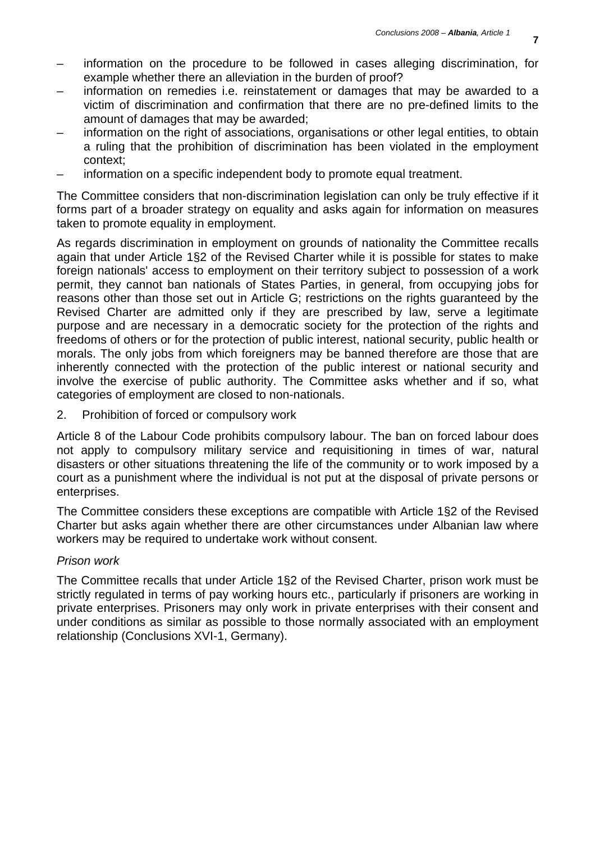- information on the procedure to be followed in cases alleging discrimination, for example whether there an alleviation in the burden of proof?
- information on remedies i.e. reinstatement or damages that may be awarded to a victim of discrimination and confirmation that there are no pre-defined limits to the amount of damages that may be awarded;
- information on the right of associations, organisations or other legal entities, to obtain a ruling that the prohibition of discrimination has been violated in the employment context;
- information on a specific independent body to promote equal treatment.

The Committee considers that non-discrimination legislation can only be truly effective if it forms part of a broader strategy on equality and asks again for information on measures taken to promote equality in employment.

As regards discrimination in employment on grounds of nationality the Committee recalls again that under Article 1§2 of the Revised Charter while it is possible for states to make foreign nationals' access to employment on their territory subject to possession of a work permit, they cannot ban nationals of States Parties, in general, from occupying jobs for reasons other than those set out in Article G; restrictions on the rights guaranteed by the Revised Charter are admitted only if they are prescribed by law, serve a legitimate purpose and are necessary in a democratic society for the protection of the rights and freedoms of others or for the protection of public interest, national security, public health or morals. The only jobs from which foreigners may be banned therefore are those that are inherently connected with the protection of the public interest or national security and involve the exercise of public authority. The Committee asks whether and if so, what categories of employment are closed to non-nationals.

2. Prohibition of forced or compulsory work

Article 8 of the Labour Code prohibits compulsory labour. The ban on forced labour does not apply to compulsory military service and requisitioning in times of war, natural disasters or other situations threatening the life of the community or to work imposed by a court as a punishment where the individual is not put at the disposal of private persons or enterprises.

The Committee considers these exceptions are compatible with Article 1§2 of the Revised Charter but asks again whether there are other circumstances under Albanian law where workers may be required to undertake work without consent.

#### *Prison work*

The Committee recalls that under Article 1§2 of the Revised Charter, prison work must be strictly regulated in terms of pay working hours etc., particularly if prisoners are working in private enterprises. Prisoners may only work in private enterprises with their consent and under conditions as similar as possible to those normally associated with an employment relationship (Conclusions XVI-1, Germany).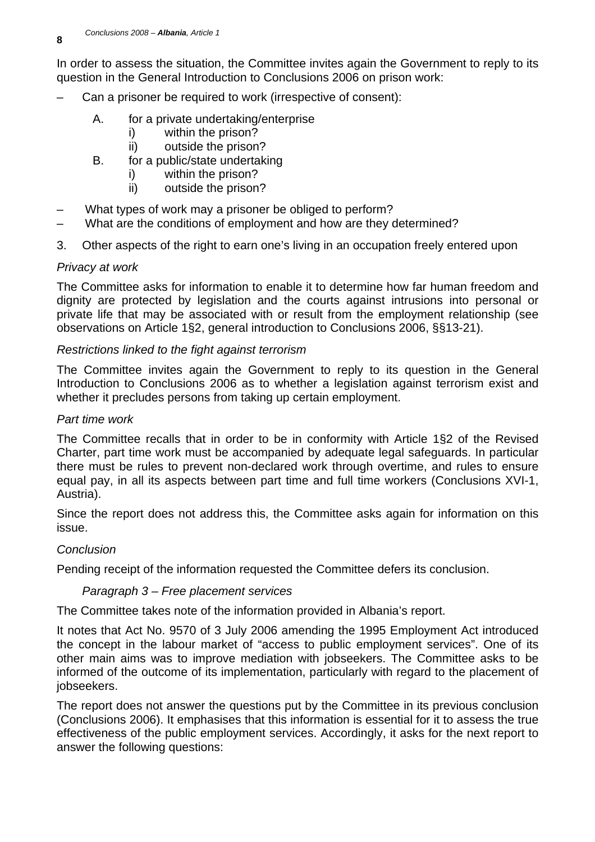In order to assess the situation, the Committee invites again the Government to reply to its question in the General Introduction to Conclusions 2006 on prison work:

- Can a prisoner be required to work (irrespective of consent):
	- A. for a private undertaking/enterprise
		- i) within the prison?
		- ii) outside the prison?
	- B. for a public/state undertaking
		- i) within the prison?
		- ii) outside the prison?
- What types of work may a prisoner be obliged to perform?
- What are the conditions of employment and how are they determined?
- 3. Other aspects of the right to earn one's living in an occupation freely entered upon

## *Privacy at work*

The Committee asks for information to enable it to determine how far human freedom and dignity are protected by legislation and the courts against intrusions into personal or private life that may be associated with or result from the employment relationship (see observations on Article 1§2, general introduction to Conclusions 2006, §§13-21).

#### *Restrictions linked to the fight against terrorism*

The Committee invites again the Government to reply to its question in the General Introduction to Conclusions 2006 as to whether a legislation against terrorism exist and whether it precludes persons from taking up certain employment.

#### *Part time work*

The Committee recalls that in order to be in conformity with Article 1§2 of the Revised Charter, part time work must be accompanied by adequate legal safeguards. In particular there must be rules to prevent non-declared work through overtime, and rules to ensure equal pay, in all its aspects between part time and full time workers (Conclusions XVI-1, Austria).

Since the report does not address this, the Committee asks again for information on this issue.

## *Conclusion*

Pending receipt of the information requested the Committee defers its conclusion.

## *Paragraph 3 – Free placement services*

The Committee takes note of the information provided in Albania's report.

It notes that Act No. 9570 of 3 July 2006 amending the 1995 Employment Act introduced the concept in the labour market of "access to public employment services". One of its other main aims was to improve mediation with jobseekers. The Committee asks to be informed of the outcome of its implementation, particularly with regard to the placement of jobseekers.

The report does not answer the questions put by the Committee in its previous conclusion (Conclusions 2006). It emphasises that this information is essential for it to assess the true effectiveness of the public employment services. Accordingly, it asks for the next report to answer the following questions: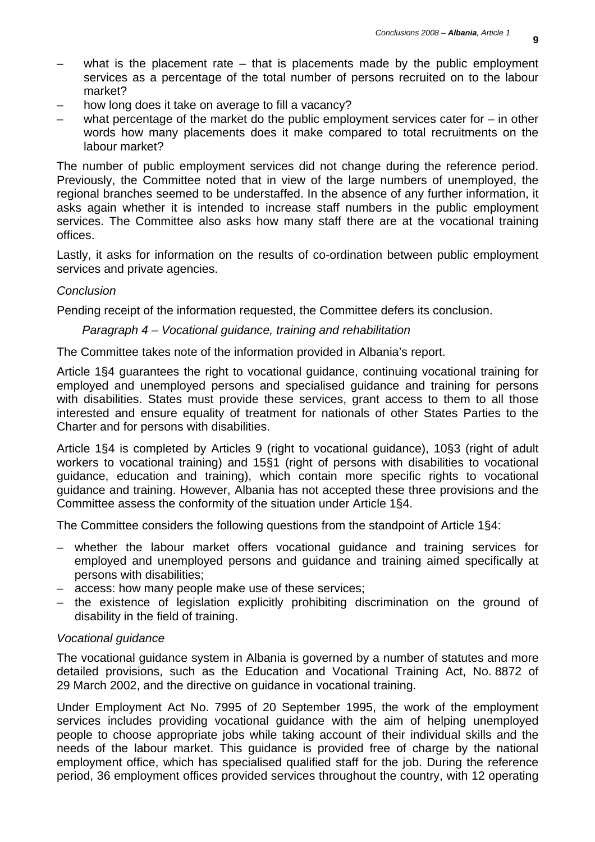- what is the placement rate  $-$  that is placements made by the public employment services as a percentage of the total number of persons recruited on to the labour market?
- how long does it take on average to fill a vacancy?
- what percentage of the market do the public employment services cater for  $-$  in other words how many placements does it make compared to total recruitments on the labour market?

The number of public employment services did not change during the reference period. Previously, the Committee noted that in view of the large numbers of unemployed, the regional branches seemed to be understaffed. In the absence of any further information, it asks again whether it is intended to increase staff numbers in the public employment services. The Committee also asks how many staff there are at the vocational training offices.

Lastly, it asks for information on the results of co-ordination between public employment services and private agencies.

#### *Conclusion*

Pending receipt of the information requested, the Committee defers its conclusion.

#### *Paragraph 4 – Vocational guidance, training and rehabilitation*

The Committee takes note of the information provided in Albania's report.

Article 1§4 guarantees the right to vocational guidance, continuing vocational training for employed and unemployed persons and specialised guidance and training for persons with disabilities. States must provide these services, grant access to them to all those interested and ensure equality of treatment for nationals of other States Parties to the Charter and for persons with disabilities.

Article 1§4 is completed by Articles 9 (right to vocational guidance), 10§3 (right of adult workers to vocational training) and 15§1 (right of persons with disabilities to vocational guidance, education and training), which contain more specific rights to vocational guidance and training. However, Albania has not accepted these three provisions and the Committee assess the conformity of the situation under Article 1§4.

The Committee considers the following questions from the standpoint of Article 1§4:

- whether the labour market offers vocational guidance and training services for employed and unemployed persons and guidance and training aimed specifically at persons with disabilities;
- access: how many people make use of these services;
- the existence of legislation explicitly prohibiting discrimination on the ground of disability in the field of training.

#### *Vocational guidance*

The vocational guidance system in Albania is governed by a number of statutes and more detailed provisions, such as the Education and Vocational Training Act, No. 8872 of 29 March 2002, and the directive on guidance in vocational training.

Under Employment Act No. 7995 of 20 September 1995, the work of the employment services includes providing vocational guidance with the aim of helping unemployed people to choose appropriate jobs while taking account of their individual skills and the needs of the labour market. This guidance is provided free of charge by the national employment office, which has specialised qualified staff for the job. During the reference period, 36 employment offices provided services throughout the country, with 12 operating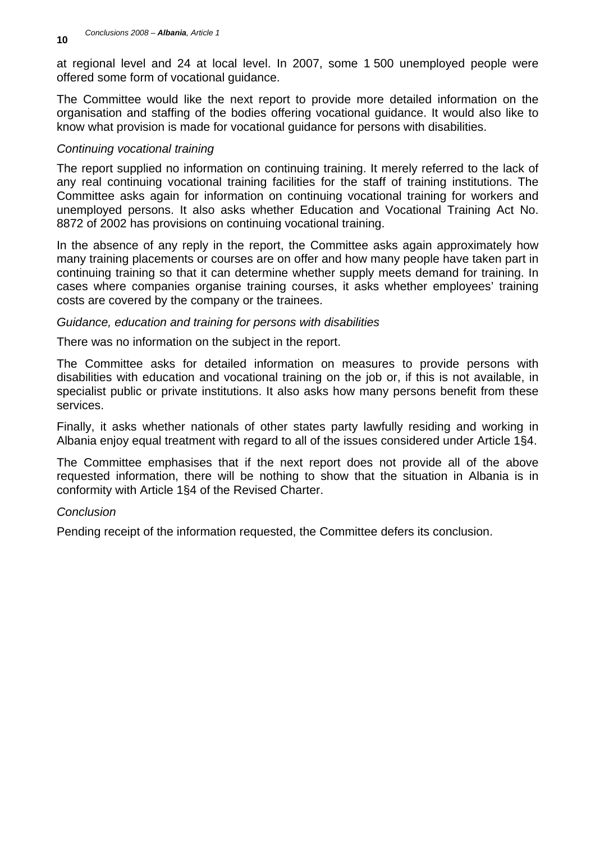at regional level and 24 at local level. In 2007, some 1 500 unemployed people were offered some form of vocational guidance.

The Committee would like the next report to provide more detailed information on the organisation and staffing of the bodies offering vocational guidance. It would also like to know what provision is made for vocational guidance for persons with disabilities.

## *Continuing vocational training*

The report supplied no information on continuing training. It merely referred to the lack of any real continuing vocational training facilities for the staff of training institutions. The Committee asks again for information on continuing vocational training for workers and unemployed persons. It also asks whether Education and Vocational Training Act No. 8872 of 2002 has provisions on continuing vocational training.

In the absence of any reply in the report, the Committee asks again approximately how many training placements or courses are on offer and how many people have taken part in continuing training so that it can determine whether supply meets demand for training. In cases where companies organise training courses, it asks whether employees' training costs are covered by the company or the trainees.

#### *Guidance, education and training for persons with disabilities*

There was no information on the subject in the report.

The Committee asks for detailed information on measures to provide persons with disabilities with education and vocational training on the job or, if this is not available, in specialist public or private institutions. It also asks how many persons benefit from these services.

Finally, it asks whether nationals of other states party lawfully residing and working in Albania enjoy equal treatment with regard to all of the issues considered under Article 1§4.

The Committee emphasises that if the next report does not provide all of the above requested information, there will be nothing to show that the situation in Albania is in conformity with Article 1§4 of the Revised Charter.

## *Conclusion*

Pending receipt of the information requested, the Committee defers its conclusion.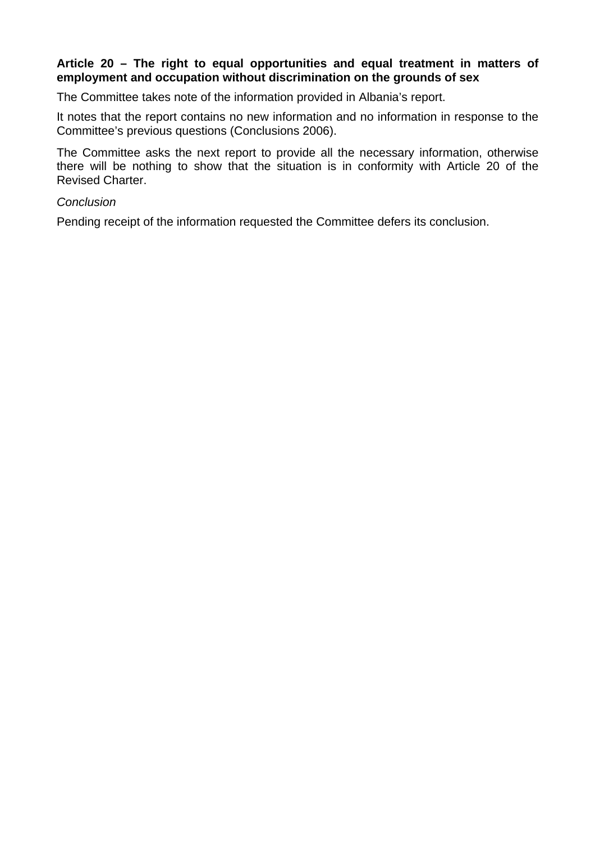## **Article 20 – The right to equal opportunities and equal treatment in matters of employment and occupation without discrimination on the grounds of sex**

The Committee takes note of the information provided in Albania's report.

It notes that the report contains no new information and no information in response to the Committee's previous questions (Conclusions 2006).

The Committee asks the next report to provide all the necessary information, otherwise there will be nothing to show that the situation is in conformity with Article 20 of the Revised Charter.

#### *Conclusion*

Pending receipt of the information requested the Committee defers its conclusion.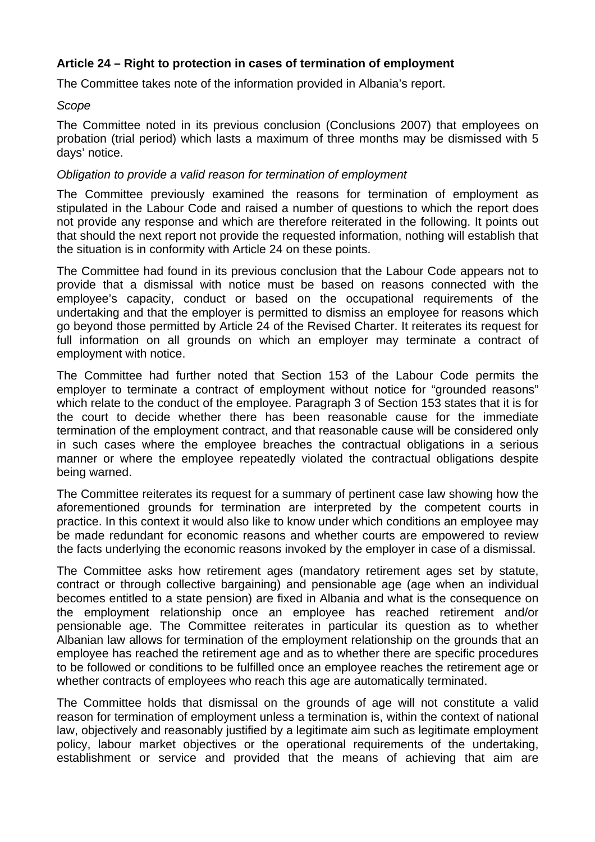## **Article 24 – Right to protection in cases of termination of employment**

The Committee takes note of the information provided in Albania's report.

#### *Scope*

The Committee noted in its previous conclusion (Conclusions 2007) that employees on probation (trial period) which lasts a maximum of three months may be dismissed with 5 days' notice.

#### *Obligation to provide a valid reason for termination of employment*

The Committee previously examined the reasons for termination of employment as stipulated in the Labour Code and raised a number of questions to which the report does not provide any response and which are therefore reiterated in the following. It points out that should the next report not provide the requested information, nothing will establish that the situation is in conformity with Article 24 on these points.

The Committee had found in its previous conclusion that the Labour Code appears not to provide that a dismissal with notice must be based on reasons connected with the employee's capacity, conduct or based on the occupational requirements of the undertaking and that the employer is permitted to dismiss an employee for reasons which go beyond those permitted by Article 24 of the Revised Charter. It reiterates its request for full information on all grounds on which an employer may terminate a contract of employment with notice.

The Committee had further noted that Section 153 of the Labour Code permits the employer to terminate a contract of employment without notice for "grounded reasons" which relate to the conduct of the employee. Paragraph 3 of Section 153 states that it is for the court to decide whether there has been reasonable cause for the immediate termination of the employment contract, and that reasonable cause will be considered only in such cases where the employee breaches the contractual obligations in a serious manner or where the employee repeatedly violated the contractual obligations despite being warned.

The Committee reiterates its request for a summary of pertinent case law showing how the aforementioned grounds for termination are interpreted by the competent courts in practice. In this context it would also like to know under which conditions an employee may be made redundant for economic reasons and whether courts are empowered to review the facts underlying the economic reasons invoked by the employer in case of a dismissal.

The Committee asks how retirement ages (mandatory retirement ages set by statute, contract or through collective bargaining) and pensionable age (age when an individual becomes entitled to a state pension) are fixed in Albania and what is the consequence on the employment relationship once an employee has reached retirement and/or pensionable age. The Committee reiterates in particular its question as to whether Albanian law allows for termination of the employment relationship on the grounds that an employee has reached the retirement age and as to whether there are specific procedures to be followed or conditions to be fulfilled once an employee reaches the retirement age or whether contracts of employees who reach this age are automatically terminated.

The Committee holds that dismissal on the grounds of age will not constitute a valid reason for termination of employment unless a termination is, within the context of national law, objectively and reasonably justified by a legitimate aim such as legitimate employment policy, labour market objectives or the operational requirements of the undertaking, establishment or service and provided that the means of achieving that aim are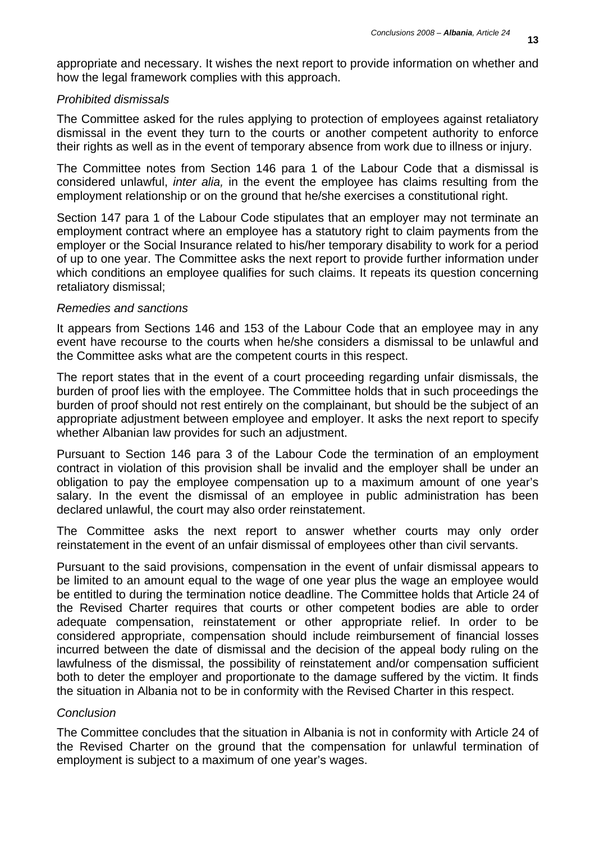appropriate and necessary. It wishes the next report to provide information on whether and how the legal framework complies with this approach.

#### *Prohibited dismissals*

The Committee asked for the rules applying to protection of employees against retaliatory dismissal in the event they turn to the courts or another competent authority to enforce their rights as well as in the event of temporary absence from work due to illness or injury.

The Committee notes from Section 146 para 1 of the Labour Code that a dismissal is considered unlawful, *inter alia,* in the event the employee has claims resulting from the employment relationship or on the ground that he/she exercises a constitutional right.

Section 147 para 1 of the Labour Code stipulates that an employer may not terminate an employment contract where an employee has a statutory right to claim payments from the employer or the Social Insurance related to his/her temporary disability to work for a period of up to one year. The Committee asks the next report to provide further information under which conditions an employee qualifies for such claims. It repeats its question concerning retaliatory dismissal;

#### *Remedies and sanctions*

It appears from Sections 146 and 153 of the Labour Code that an employee may in any event have recourse to the courts when he/she considers a dismissal to be unlawful and the Committee asks what are the competent courts in this respect.

The report states that in the event of a court proceeding regarding unfair dismissals, the burden of proof lies with the employee. The Committee holds that in such proceedings the burden of proof should not rest entirely on the complainant, but should be the subject of an appropriate adjustment between employee and employer. It asks the next report to specify whether Albanian law provides for such an adjustment.

Pursuant to Section 146 para 3 of the Labour Code the termination of an employment contract in violation of this provision shall be invalid and the employer shall be under an obligation to pay the employee compensation up to a maximum amount of one year's salary. In the event the dismissal of an employee in public administration has been declared unlawful, the court may also order reinstatement.

The Committee asks the next report to answer whether courts may only order reinstatement in the event of an unfair dismissal of employees other than civil servants.

Pursuant to the said provisions, compensation in the event of unfair dismissal appears to be limited to an amount equal to the wage of one year plus the wage an employee would be entitled to during the termination notice deadline. The Committee holds that Article 24 of the Revised Charter requires that courts or other competent bodies are able to order adequate compensation, reinstatement or other appropriate relief. In order to be considered appropriate, compensation should include reimbursement of financial losses incurred between the date of dismissal and the decision of the appeal body ruling on the lawfulness of the dismissal, the possibility of reinstatement and/or compensation sufficient both to deter the employer and proportionate to the damage suffered by the victim. It finds the situation in Albania not to be in conformity with the Revised Charter in this respect.

## *Conclusion*

The Committee concludes that the situation in Albania is not in conformity with Article 24 of the Revised Charter on the ground that the compensation for unlawful termination of employment is subject to a maximum of one year's wages.